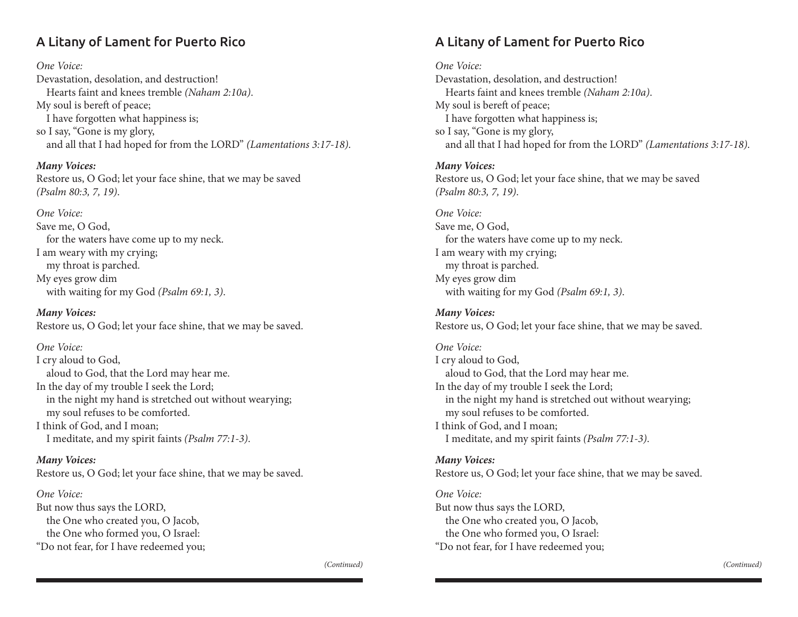# A Litany of Lament for Puerto Rico

*One Voice:*

Devastation, desolation, and destruction! Hearts faint and knees tremble *(Naham 2:10a)*. My soul is bereft of peace; I have forgotten what happiness is; so I say, "Gone is my glory, and all that I had hoped for from the LORD" *(Lamentations 3:17-18)*.

*Many Voices:*

Restore us, O God; let your face shine, that we may be saved *(Psalm 80:3, 7, 19)*.

*One Voice:*

Save me, O God, for the waters have come up to my neck. I am weary with my crying; my throat is parched. My eyes grow dim with waiting for my God *(Psalm 69:1, 3)*.

*Many Voices:* Restore us, O God; let your face shine, that we may be saved.

*One Voice:* I cry aloud to God, aloud to God, that the Lord may hear me. In the day of my trouble I seek the Lord; in the night my hand is stretched out without wearying; my soul refuses to be comforted. I think of God, and I moan; I meditate, and my spirit faints *(Psalm 77:1-3)*.

*Many Voices:* Restore us, O God; let your face shine, that we may be saved.

*One Voice:*

But now thus says the LORD, the One who created you, O Jacob, the One who formed you, O Israel: "Do not fear, for I have redeemed you; A Litany of Lament for Puerto Rico

*One Voice:* Devastation, desolation, and destruction! Hearts faint and knees tremble *(Naham 2:10a)*. My soul is bereft of peace; I have forgotten what happiness is; so I say, "Gone is my glory, and all that I had hoped for from the LORD" *(Lamentations 3:17-18)*.

*Many Voices:* Restore us, O God; let your face shine, that we may be saved *(Psalm 80:3, 7, 19)*.

*One Voice:* Save me, O God, for the waters have come up to my neck. I am weary with my crying; my throat is parched. My eyes grow dim with waiting for my God *(Psalm 69:1, 3)*.

*Many Voices:* Restore us, O God; let your face shine, that we may be saved.

*One Voice:* I cry aloud to God, aloud to God, that the Lord may hear me. In the day of my trouble I seek the Lord; in the night my hand is stretched out without wearying; my soul refuses to be comforted. I think of God, and I moan; I meditate, and my spirit faints *(Psalm 77:1-3)*.

*Many Voices:* Restore us, O God; let your face shine, that we may be saved.

*One Voice:* But now thus says the LORD, the One who created you, O Jacob, the One who formed you, O Israel: "Do not fear, for I have redeemed you;